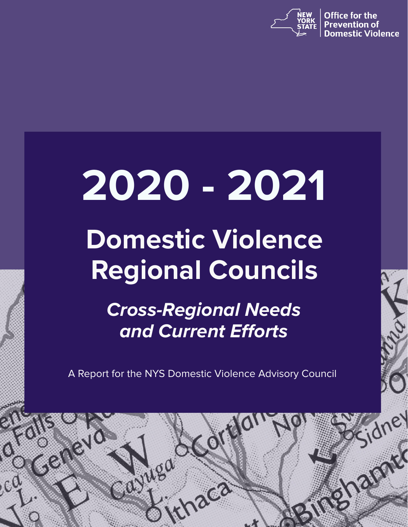

**Office for the Prevention of** tic Violence

idney

**Shamed** 

# **2020 - 2021**

# **Domestic Violence Regional Councils**

*Cross-Regional Needs and Current Efforts*

A Report for the NYS Domestic Violence Advisory Council

zca

Mea

 $C<sub>c</sub>$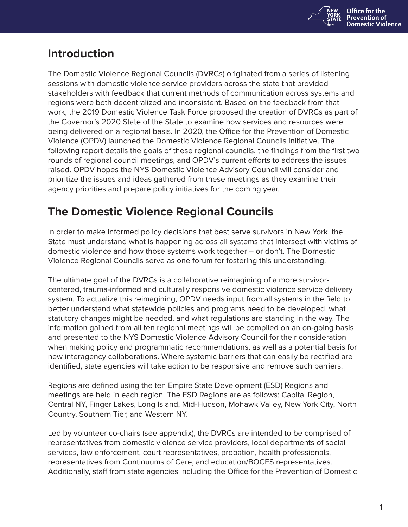

# **Introduction**

The Domestic Violence Regional Councils (DVRCs) originated from a series of listening sessions with domestic violence service providers across the state that provided stakeholders with feedback that current methods of communication across systems and regions were both decentralized and inconsistent. Based on the feedback from that work, the 2019 Domestic Violence Task Force proposed the creation of DVRCs as part of the Governor's 2020 State of the State to examine how services and resources were being delivered on a regional basis. In 2020, the Office for the Prevention of Domestic Violence (OPDV) launched the Domestic Violence Regional Councils initiative. The following report details the goals of these regional councils, the findings from the first two rounds of regional council meetings, and OPDV's current efforts to address the issues raised. OPDV hopes the NYS Domestic Violence Advisory Council will consider and prioritize the issues and ideas gathered from these meetings as they examine their agency priorities and prepare policy initiatives for the coming year.

# **The Domestic Violence Regional Councils**

In order to make informed policy decisions that best serve survivors in New York, the State must understand what is happening across all systems that intersect with victims of domestic violence and how those systems work together – or don't. The Domestic Violence Regional Councils serve as one forum for fostering this understanding.

The ultimate goal of the DVRCs is a collaborative reimagining of a more survivorcentered, trauma-informed and culturally responsive domestic violence service delivery system. To actualize this reimagining, OPDV needs input from all systems in the field to better understand what statewide policies and programs need to be developed, what statutory changes might be needed, and what regulations are standing in the way. The information gained from all ten regional meetings will be compiled on an on-going basis and presented to the NYS Domestic Violence Advisory Council for their consideration when making policy and programmatic recommendations, as well as a potential basis for new interagency collaborations. Where systemic barriers that can easily be rectified are identified, state agencies will take action to be responsive and remove such barriers.

Regions are defined using the ten Empire State Development (ESD) Regions and meetings are held in each region. The ESD Regions are as follows: Capital Region, Central NY, Finger Lakes, Long Island, Mid-Hudson, Mohawk Valley, New York City, North Country, Southern Tier, and Western NY.

Led by volunteer co-chairs (see appendix), the DVRCs are intended to be comprised of representatives from domestic violence service providers, local departments of social services, law enforcement, court representatives, probation, health professionals, representatives from Continuums of Care, and education/BOCES representatives. Additionally, staff from state agencies including the Office for the Prevention of Domestic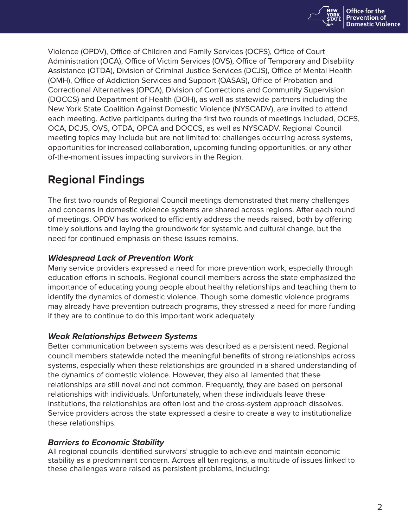

Violence (OPDV), Office of Children and Family Services (OCFS), Office of Court Administration (OCA), Office of Victim Services (OVS), Office of Temporary and Disability Assistance (OTDA), Division of Criminal Justice Services (DCJS), Office of Mental Health (OMH), Office of Addiction Services and Support (OASAS), Office of Probation and Correctional Alternatives (OPCA), Division of Corrections and Community Supervision (DOCCS) and Department of Health (DOH), as well as statewide partners including the New York State Coalition Against Domestic Violence (NYSCADV), are invited to attend each meeting. Active participants during the first two rounds of meetings included, OCFS, OCA, DCJS, OVS, OTDA, OPCA and DOCCS, as well as NYSCADV. Regional Council meeting topics may include but are not limited to: challenges occurring across systems, opportunities for increased collaboration, upcoming funding opportunities, or any other of-the-moment issues impacting survivors in the Region.

# **Regional Findings**

The first two rounds of Regional Council meetings demonstrated that many challenges and concerns in domestic violence systems are shared across regions. After each round of meetings, OPDV has worked to efficiently address the needs raised, both by offering timely solutions and laying the groundwork for systemic and cultural change, but the need for continued emphasis on these issues remains.

# *Widespread Lack of Prevention Work*

Many service providers expressed a need for more prevention work, especially through education efforts in schools. Regional council members across the state emphasized the importance of educating young people about healthy relationships and teaching them to identify the dynamics of domestic violence. Though some domestic violence programs may already have prevention outreach programs, they stressed a need for more funding if they are to continue to do this important work adequately.

# *Weak Relationships Between Systems*

Better communication between systems was described as a persistent need. Regional council members statewide noted the meaningful benefits of strong relationships across systems, especially when these relationships are grounded in a shared understanding of the dynamics of domestic violence. However, they also all lamented that these relationships are still novel and not common. Frequently, they are based on personal relationships with individuals. Unfortunately, when these individuals leave these institutions, the relationships are often lost and the cross-system approach dissolves. Service providers across the state expressed a desire to create a way to institutionalize these relationships.

# *Barriers to Economic Stability*

All regional councils identified survivors' struggle to achieve and maintain economic stability as a predominant concern. Across all ten regions, a multitude of issues linked to these challenges were raised as persistent problems, including: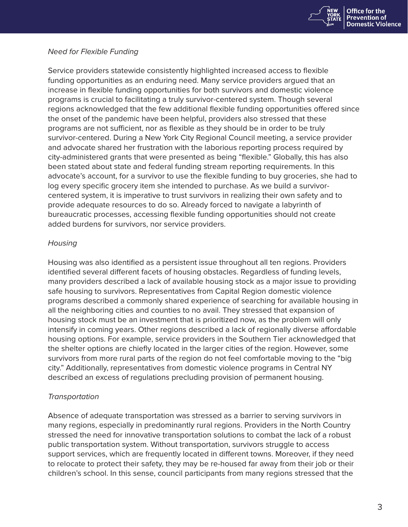

# *Need for Flexible Funding*

Service providers statewide consistently highlighted increased access to flexible funding opportunities as an enduring need. Many service providers argued that an increase in flexible funding opportunities for both survivors and domestic violence programs is crucial to facilitating a truly survivor-centered system. Though several regions acknowledged that the few additional flexible funding opportunities offered since the onset of the pandemic have been helpful, providers also stressed that these programs are not sufficient, nor as flexible as they should be in order to be truly survivor-centered. During a New York City Regional Council meeting, a service provider and advocate shared her frustration with the laborious reporting process required by city-administered grants that were presented as being "flexible." Globally, this has also been stated about state and federal funding stream reporting requirements. In this advocate's account, for a survivor to use the flexible funding to buy groceries, she had to log every specific grocery item she intended to purchase. As we build a survivorcentered system, it is imperative to trust survivors in realizing their own safety and to provide adequate resources to do so. Already forced to navigate a labyrinth of bureaucratic processes, accessing flexible funding opportunities should not create added burdens for survivors, nor service providers.

### *Housing*

Housing was also identified as a persistent issue throughout all ten regions. Providers identified several different facets of housing obstacles. Regardless of funding levels, many providers described a lack of available housing stock as a major issue to providing safe housing to survivors. Representatives from Capital Region domestic violence programs described a commonly shared experience of searching for available housing in all the neighboring cities and counties to no avail. They stressed that expansion of housing stock must be an investment that is prioritized now, as the problem will only intensify in coming years. Other regions described a lack of regionally diverse affordable housing options. For example, service providers in the Southern Tier acknowledged that the shelter options are chiefly located in the larger cities of the region. However, some survivors from more rural parts of the region do not feel comfortable moving to the "big city." Additionally, representatives from domestic violence programs in Central NY described an excess of regulations precluding provision of permanent housing.

# *Transportation*

Absence of adequate transportation was stressed as a barrier to serving survivors in many regions, especially in predominantly rural regions. Providers in the North Country stressed the need for innovative transportation solutions to combat the lack of a robust public transportation system. Without transportation, survivors struggle to access support services, which are frequently located in different towns. Moreover, if they need to relocate to protect their safety, they may be re-housed far away from their job or their children's school. In this sense, council participants from many regions stressed that the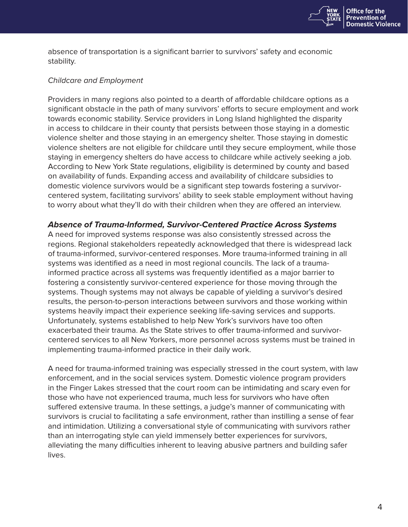

absence of transportation is a significant barrier to survivors' safety and economic stability.

### *Childcare and Employment*

Providers in many regions also pointed to a dearth of affordable childcare options as a significant obstacle in the path of many survivors' efforts to secure employment and work towards economic stability. Service providers in Long Island highlighted the disparity in access to childcare in their county that persists between those staying in a domestic violence shelter and those staying in an emergency shelter. Those staying in domestic violence shelters are not eligible for childcare until they secure employment, while those staying in emergency shelters do have access to childcare while actively seeking a job. According to New York State regulations, eligibility is determined by county and based on availability of funds. Expanding access and availability of childcare subsidies to domestic violence survivors would be a significant step towards fostering a survivorcentered system, facilitating survivors' ability to seek stable employment without having to worry about what they'll do with their children when they are offered an interview.

# *Absence of Trauma-Informed, Survivor-Centered Practice Across Systems*

A need for improved systems response was also consistently stressed across the regions. Regional stakeholders repeatedly acknowledged that there is widespread lack of trauma-informed, survivor-centered responses. More trauma-informed training in all systems was identified as a need in most regional councils. The lack of a traumainformed practice across all systems was frequently identified as a major barrier to fostering a consistently survivor-centered experience for those moving through the systems. Though systems may not always be capable of yielding a survivor's desired results, the person-to-person interactions between survivors and those working within systems heavily impact their experience seeking life-saving services and supports. Unfortunately, systems established to help New York's survivors have too often exacerbated their trauma. As the State strives to offer trauma-informed and survivorcentered services to all New Yorkers, more personnel across systems must be trained in implementing trauma-informed practice in their daily work.

A need for trauma-informed training was especially stressed in the court system, with law enforcement, and in the social services system. Domestic violence program providers in the Finger Lakes stressed that the court room can be intimidating and scary even for those who have not experienced trauma, much less for survivors who have often suffered extensive trauma. In these settings, a judge's manner of communicating with survivors is crucial to facilitating a safe environment, rather than instilling a sense of fear and intimidation. Utilizing a conversational style of communicating with survivors rather than an interrogating style can yield immensely better experiences for survivors, alleviating the many difficulties inherent to leaving abusive partners and building safer lives.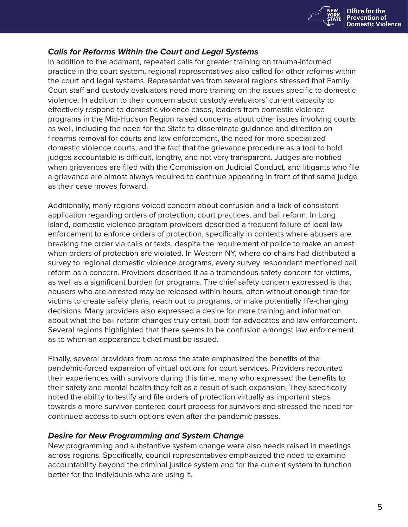

# *Calls for Reforms Within the Court and Legal Systems*

In addition to the adamant, repeated calls for greater training on trauma-informed practice in the court system, regional representatives also called for other reforms within the court and legal systems. Representatives from several regions stressed that Family Court staff and custody evaluators need more training on the issues specific to domestic violence. In addition to their concern about custody evaluators' current capacity to effectively respond to domestic violence cases, leaders from domestic violence programs in the Mid-Hudson Region raised concerns about other issues involving courts as well, including the need for the State to disseminate guidance and direction on firearms removal for courts and law enforcement, the need for more specialized domestic violence courts, and the fact that the grievance procedure as a tool to hold judges accountable is difficult, lengthy, and not very transparent. Judges are notified when grievances are filed with the Commission on Judicial Conduct, and litigants who file a grievance are almost always required to continue appearing in front of that same judge as their case moves forward.

Additionally, many regions voiced concern about confusion and a lack of consistent application regarding orders of protection, court practices, and bail reform. In Long Island, domestic violence program providers described a frequent failure of local law enforcement to enforce orders of protection, specifically in contexts where abusers are breaking the order via calls or texts, despite the requirement of police to make an arrest when orders of protection are violated. In Western NY, where co-chairs had distributed a survey to regional domestic violence programs, every survey respondent mentioned bail reform as a concern. Providers described it as a tremendous safety concern for victims, as well as a significant burden for programs. The chief safety concern expressed is that abusers who are arrested may be released within hours, often without enough time for victims to create safety plans, reach out to programs, or make potentially life-changing decisions. Many providers also expressed a desire for more training and information about what the bail reform changes truly entail, both for advocates and law enforcement. Several regions highlighted that there seems to be confusion amongst law enforcement as to when an appearance ticket must be issued.

Finally, several providers from across the state emphasized the benefits of the pandemic-forced expansion of virtual options for court services. Providers recounted their experiences with survivors during this time, many who expressed the benefits to their safety and mental health they felt as a result of such expansion. They specifically noted the ability to testify and file orders of protection virtually as important steps towards a more survivor-centered court process for survivors and stressed the need for continued access to such options even after the pandemic passes.

# *Desire for New Programming and System Change*

New programming and substantive system change were also needs raised in meetings across regions. Specifically, council representatives emphasized the need to examine accountability beyond the criminal justice system and for the current system to function better for the individuals who are using it.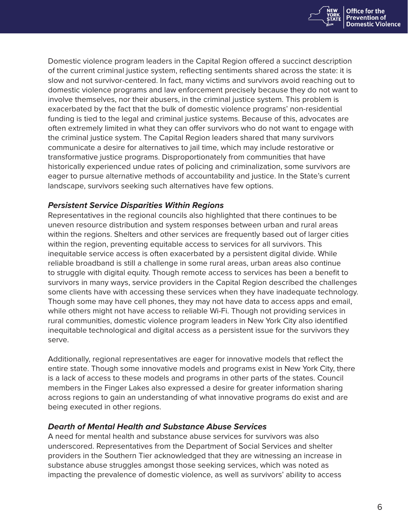

Domestic violence program leaders in the Capital Region offered a succinct description of the current criminal justice system, reflecting sentiments shared across the state: it is slow and not survivor-centered. In fact, many victims and survivors avoid reaching out to domestic violence programs and law enforcement precisely because they do not want to involve themselves, nor their abusers, in the criminal justice system. This problem is exacerbated by the fact that the bulk of domestic violence programs' non-residential funding is tied to the legal and criminal justice systems. Because of this, advocates are often extremely limited in what they can offer survivors who do not want to engage with the criminal justice system. The Capital Region leaders shared that many survivors communicate a desire for alternatives to jail time, which may include restorative or transformative justice programs. Disproportionately from communities that have historically experienced undue rates of policing and criminalization, some survivors are eager to pursue alternative methods of accountability and justice. In the State's current landscape, survivors seeking such alternatives have few options.

# *Persistent Service Disparities Within Regions*

Representatives in the regional councils also highlighted that there continues to be uneven resource distribution and system responses between urban and rural areas within the regions. Shelters and other services are frequently based out of larger cities within the region, preventing equitable access to services for all survivors. This inequitable service access is often exacerbated by a persistent digital divide. While reliable broadband is still a challenge in some rural areas, urban areas also continue to struggle with digital equity. Though remote access to services has been a benefit to survivors in many ways, service providers in the Capital Region described the challenges some clients have with accessing these services when they have inadequate technology. Though some may have cell phones, they may not have data to access apps and email, while others might not have access to reliable Wi-Fi. Though not providing services in rural communities, domestic violence program leaders in New York City also identified inequitable technological and digital access as a persistent issue for the survivors they serve.

Additionally, regional representatives are eager for innovative models that reflect the entire state. Though some innovative models and programs exist in New York City, there is a lack of access to these models and programs in other parts of the states. Council members in the Finger Lakes also expressed a desire for greater information sharing across regions to gain an understanding of what innovative programs do exist and are being executed in other regions.

# *Dearth of Mental Health and Substance Abuse Services*

A need for mental health and substance abuse services for survivors was also underscored. Representatives from the Department of Social Services and shelter providers in the Southern Tier acknowledged that they are witnessing an increase in substance abuse struggles amongst those seeking services, which was noted as impacting the prevalence of domestic violence, as well as survivors' ability to access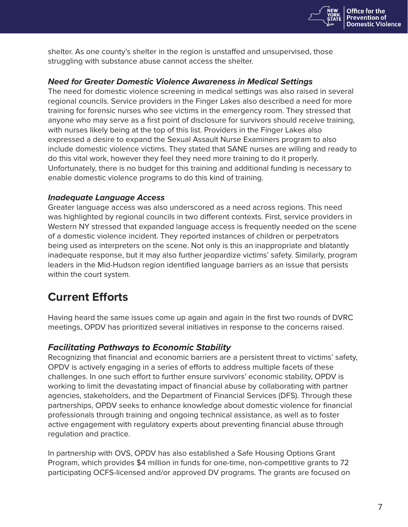

shelter. As one county's shelter in the region is unstaffed and unsupervised, those struggling with substance abuse cannot access the shelter.

# *Need for Greater Domestic Violence Awareness in Medical Settings*

The need for domestic violence screening in medical settings was also raised in several regional councils. Service providers in the Finger Lakes also described a need for more training for forensic nurses who see victims in the emergency room. They stressed that anyone who may serve as a first point of disclosure for survivors should receive training, with nurses likely being at the top of this list. Providers in the Finger Lakes also expressed a desire to expand the Sexual Assault Nurse Examiners program to also include domestic violence victims. They stated that SANE nurses are willing and ready to do this vital work, however they feel they need more training to do it properly. Unfortunately, there is no budget for this training and additional funding is necessary to enable domestic violence programs to do this kind of training.

# *Inadequate Language Access*

Greater language access was also underscored as a need across regions. This need was highlighted by regional councils in two different contexts. First, service providers in Western NY stressed that expanded language access is frequently needed on the scene of a domestic violence incident. They reported instances of children or perpetrators being used as interpreters on the scene. Not only is this an inappropriate and blatantly inadequate response, but it may also further jeopardize victims' safety. Similarly, program leaders in the Mid-Hudson region identified language barriers as an issue that persists within the court system.

# **Current Efforts**

Having heard the same issues come up again and again in the first two rounds of DVRC meetings, OPDV has prioritized several initiatives in response to the concerns raised.

# *Facilitating Pathways to Economic Stability*

Recognizing that financial and economic barriers are a persistent threat to victims' safety, OPDV is actively engaging in a series of efforts to address multiple facets of these challenges. In one such effort to further ensure survivors' economic stability, OPDV is working to limit the devastating impact of financial abuse by collaborating with partner agencies, stakeholders, and the Department of Financial Services (DFS). Through these partnerships, OPDV seeks to enhance knowledge about domestic violence for financial professionals through training and ongoing technical assistance, as well as to foster active engagement with regulatory experts about preventing financial abuse through regulation and practice.

In partnership with OVS, OPDV has also established a Safe Housing Options Grant Program, which provides \$4 million in funds for one-time, non-competitive grants to 72 participating OCFS-licensed and/or approved DV programs. The grants are focused on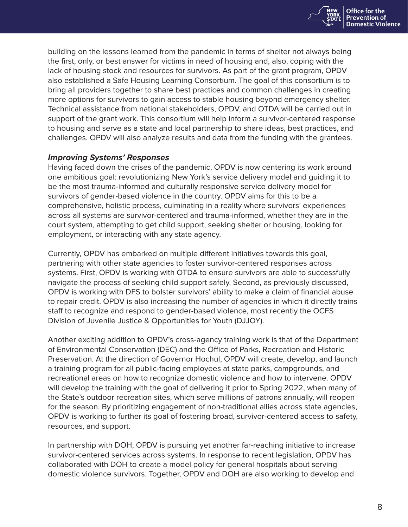

building on the lessons learned from the pandemic in terms of shelter not always being the first, only, or best answer for victims in need of housing and, also, coping with the lack of housing stock and resources for survivors. As part of the grant program, OPDV also established a Safe Housing Learning Consortium. The goal of this consortium is to bring all providers together to share best practices and common challenges in creating more options for survivors to gain access to stable housing beyond emergency shelter. Technical assistance from national stakeholders, OPDV, and OTDA will be carried out in support of the grant work. This consortium will help inform a survivor-centered response to housing and serve as a state and local partnership to share ideas, best practices, and challenges. OPDV will also analyze results and data from the funding with the grantees.

### *Improving Systems' Responses*

Having faced down the crises of the pandemic, OPDV is now centering its work around one ambitious goal: revolutionizing New York's service delivery model and guiding it to be the most trauma-informed and culturally responsive service delivery model for survivors of gender-based violence in the country. OPDV aims for this to be a comprehensive, holistic process, culminating in a reality where survivors' experiences across all systems are survivor-centered and trauma-informed, whether they are in the court system, attempting to get child support, seeking shelter or housing, looking for employment, or interacting with any state agency.

Currently, OPDV has embarked on multiple different initiatives towards this goal, partnering with other state agencies to foster survivor-centered responses across systems. First, OPDV is working with OTDA to ensure survivors are able to successfully navigate the process of seeking child support safely. Second, as previously discussed, OPDV is working with DFS to bolster survivors' ability to make a claim of financial abuse to repair credit. OPDV is also increasing the number of agencies in which it directly trains staff to recognize and respond to gender-based violence, most recently the OCFS Division of Juvenile Justice & Opportunities for Youth (DJJOY).

Another exciting addition to OPDV's cross-agency training work is that of the Department of Environmental Conservation (DEC) and the Office of Parks, Recreation and Historic Preservation. At the direction of Governor Hochul, OPDV will create, develop, and launch a training program for all public-facing employees at state parks, campgrounds, and recreational areas on how to recognize domestic violence and how to intervene. OPDV will develop the training with the goal of delivering it prior to Spring 2022, when many of the State's outdoor recreation sites, which serve millions of patrons annually, will reopen for the season. By prioritizing engagement of non-traditional allies across state agencies, OPDV is working to further its goal of fostering broad, survivor-centered access to safety, resources, and support.

In partnership with DOH, OPDV is pursuing yet another far-reaching initiative to increase survivor-centered services across systems. In response to recent legislation, OPDV has collaborated with DOH to create a model policy for general hospitals about serving domestic violence survivors. Together, OPDV and DOH are also working to develop and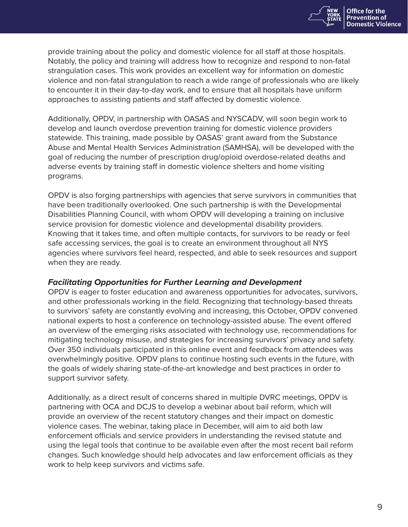

provide training about the policy and domestic violence for all staff at those hospitals. Notably, the policy and training will address how to recognize and respond to non-fatal strangulation cases. This work provides an excellent way for information on domestic violence and non-fatal strangulation to reach a wide range of professionals who are likely to encounter it in their day-to-day work, and to ensure that all hospitals have uniform approaches to assisting patients and staff affected by domestic violence.

Additionally, OPDV, in partnership with OASAS and NYSCADV, will soon begin work to develop and launch overdose prevention training for domestic violence providers statewide. This training, made possible by OASAS' grant award from the Substance Abuse and Mental Health Services Administration (SAMHSA), will be developed with the goal of reducing the number of prescription drug/opioid overdose-related deaths and adverse events by training staff in domestic violence shelters and home visiting programs.

OPDV is also forging partnerships with agencies that serve survivors in communities that have been traditionally overlooked. One such partnership is with the Developmental Disabilities Planning Council, with whom OPDV will developing a training on inclusive service provision for domestic violence and developmental disability providers. Knowing that it takes time, and often multiple contacts, for survivors to be ready or feel safe accessing services, the goal is to create an environment throughout all NYS agencies where survivors feel heard, respected, and able to seek resources and support when they are ready.

# *Facilitating Opportunities for Further Learning and Development*

OPDV is eager to foster education and awareness opportunities for advocates, survivors, and other professionals working in the field. Recognizing that technology-based threats to survivors' safety are constantly evolving and increasing, this October, OPDV convened national experts to host a conference on technology-assisted abuse. The event offered an overview of the emerging risks associated with technology use, recommendations for mitigating technology misuse, and strategies for increasing survivors' privacy and safety. Over 350 individuals participated in this online event and feedback from attendees was overwhelmingly positive. OPDV plans to continue hosting such events in the future, with the goals of widely sharing state-of-the-art knowledge and best practices in order to support survivor safety.

Additionally, as a direct result of concerns shared in multiple DVRC meetings, OPDV is partnering with OCA and DCJS to develop a webinar about bail reform, which will provide an overview of the recent statutory changes and their impact on domestic violence cases. The webinar, taking place in December, will aim to aid both law enforcement officials and service providers in understanding the revised statute and using the legal tools that continue to be available even after the most recent bail reform changes. Such knowledge should help advocates and law enforcement officials as they work to help keep survivors and victims safe.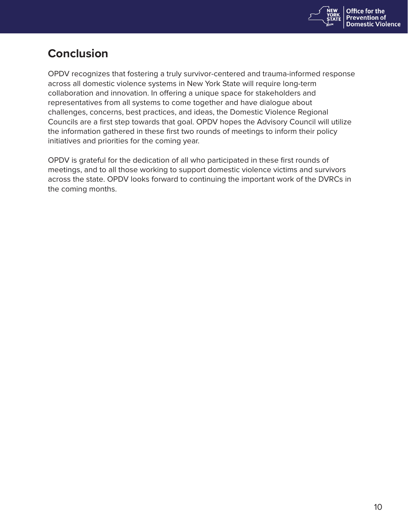

# **Conclusion**

OPDV recognizes that fostering a truly survivor-centered and trauma-informed response across all domestic violence systems in New York State will require long-term collaboration and innovation. In offering a unique space for stakeholders and representatives from all systems to come together and have dialogue about challenges, concerns, best practices, and ideas, the Domestic Violence Regional Councils are a first step towards that goal. OPDV hopes the Advisory Council will utilize the information gathered in these first two rounds of meetings to inform their policy initiatives and priorities for the coming year.

OPDV is grateful for the dedication of all who participated in these first rounds of meetings, and to all those working to support domestic violence victims and survivors across the state. OPDV looks forward to continuing the important work of the DVRCs in the coming months.